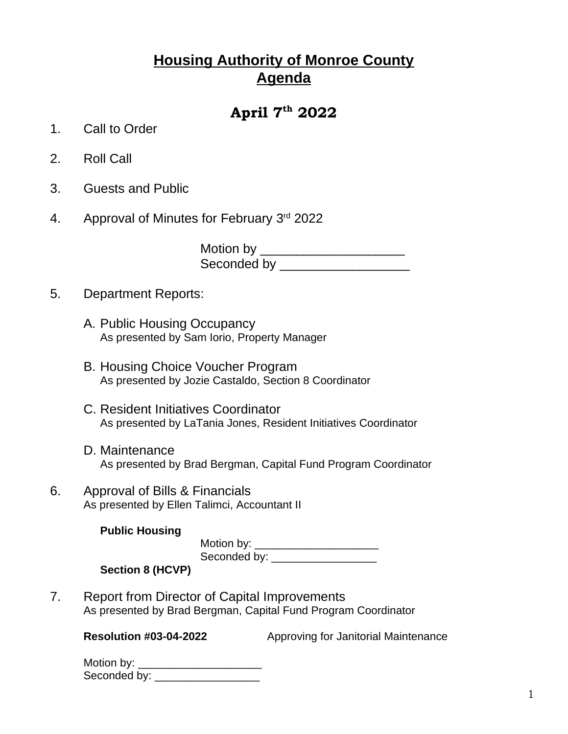## **Housing Authority of Monroe County Agenda**

## **April 7th 2022**

- 1. Call to Order
- 2. Roll Call
- 3. Guests and Public
- 4. Approval of Minutes for February 3rd 2022

Motion by \_\_\_\_\_\_\_\_\_\_\_\_\_\_\_\_\_\_\_\_\_\_\_\_ Seconded by \_\_\_\_\_\_\_\_\_\_\_\_\_\_\_\_\_\_

- 5. Department Reports:
	- A. Public Housing Occupancy As presented by Sam Iorio, Property Manager
	- B. Housing Choice Voucher Program As presented by Jozie Castaldo, Section 8 Coordinator
	- C. Resident Initiatives Coordinator As presented by LaTania Jones, Resident Initiatives Coordinator
	- D. Maintenance As presented by Brad Bergman, Capital Fund Program Coordinator
- 6. Approval of Bills & Financials As presented by Ellen Talimci, Accountant II

| <b>Public Housing</b> |              |
|-----------------------|--------------|
|                       | Motion by:   |
|                       | Seconded by: |

**Section 8 (HCVP)**

7. Report from Director of Capital Improvements As presented by Brad Bergman, Capital Fund Program Coordinator

**Resolution #03-04-2022** Approving for Janitorial Maintenance

| Motion by:   |  |
|--------------|--|
| Seconded by: |  |